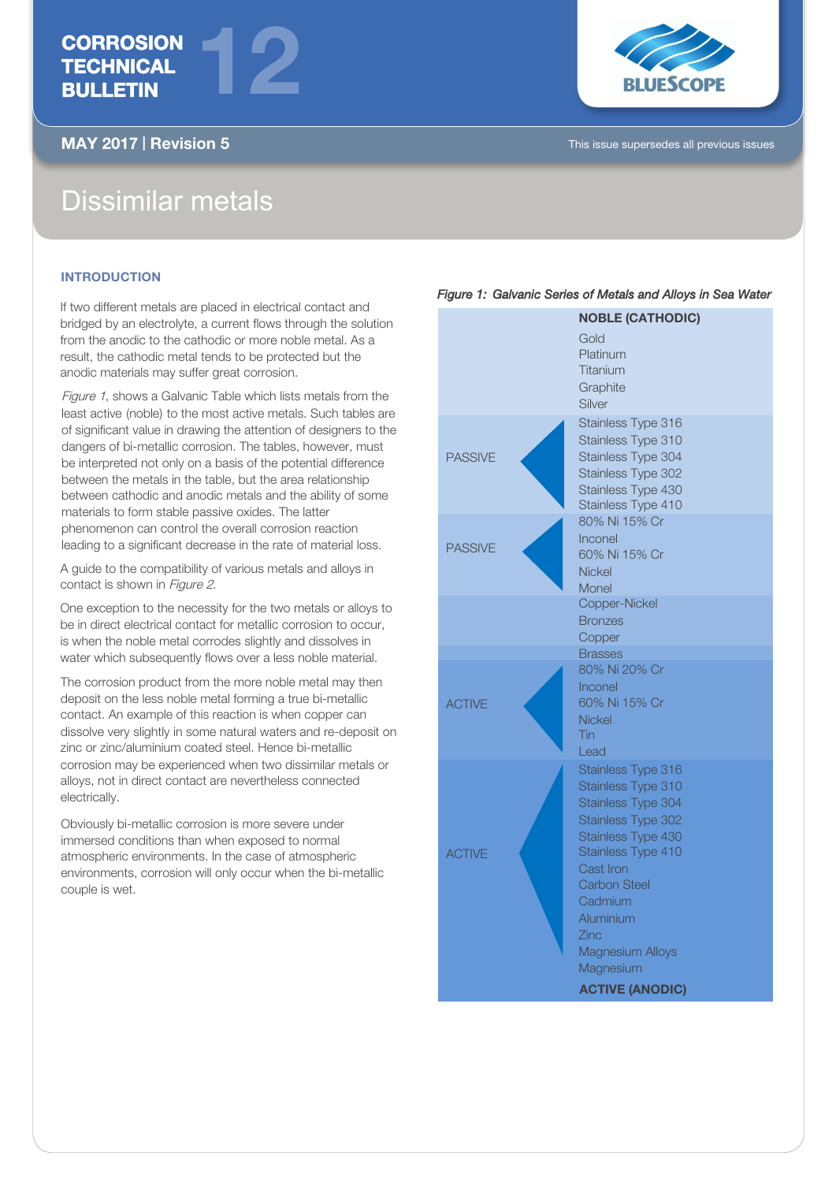# **CORROSION** TECHNICAL BULLETIN



MAY 2017 | Revision 5 This issue supersedes all previous issues

# Dissimilar metals

## **INTRODUCTION**

If two different metals are placed in electrical contact and bridged by an electrolyte, a current flows through the solution from the anodic to the cathodic or more noble metal. As a result, the cathodic metal tends to be protected but the anodic materials may suffer great corrosion.

12

Figure 1, shows a Galvanic Table which lists metals from the least active (noble) to the most active metals. Such tables are of significant value in drawing the attention of designers to the dangers of bi-metallic corrosion. The tables, however, must be interpreted not only on a basis of the potential difference between the metals in the table, but the area relationship between cathodic and anodic metals and the ability of some materials to form stable passive oxides. The latter phenomenon can control the overall corrosion reaction leading to a significant decrease in the rate of material loss.

A guide to the compatibility of various metals and alloys in contact is shown in Figure 2.

One exception to the necessity for the two metals or alloys to be in direct electrical contact for metallic corrosion to occur, is when the noble metal corrodes slightly and dissolves in water which subsequently flows over a less noble material.

The corrosion product from the more noble metal may then deposit on the less noble metal forming a true bi-metallic contact. An example of this reaction is when copper can dissolve very slightly in some natural waters and re-deposit on zinc or zinc/aluminium coated steel. Hence bi-metallic corrosion may be experienced when two dissimilar metals or alloys, not in direct contact are nevertheless connected electrically.

Obviously bi-metallic corrosion is more severe under immersed conditions than when exposed to normal atmospheric environments. In the case of atmospheric environments, corrosion will only occur when the bi-metallic couple is wet.

### Figure 1: Galvanic Series of Metals and Alloys in Sea Water

| <b>NOBLE (CATHODIC)</b> |                          |  |  |  |  |  |
|-------------------------|--------------------------|--|--|--|--|--|
|                         | Gold                     |  |  |  |  |  |
|                         | Platinum                 |  |  |  |  |  |
|                         | Titanium                 |  |  |  |  |  |
|                         | Graphite                 |  |  |  |  |  |
|                         | Silver                   |  |  |  |  |  |
| <b>PASSIVE</b>          | Stainless Type 316       |  |  |  |  |  |
|                         | Stainless Type 310       |  |  |  |  |  |
|                         | Stainless Type 304       |  |  |  |  |  |
|                         | Stainless Type 302       |  |  |  |  |  |
|                         | Stainless Type 430       |  |  |  |  |  |
|                         | Stainless Type 410       |  |  |  |  |  |
| <b>PASSIVE</b>          | 80% Ni 15% Cr            |  |  |  |  |  |
|                         | Inconel                  |  |  |  |  |  |
|                         | 60% Ni 15% Cr            |  |  |  |  |  |
|                         | <b>Nickel</b>            |  |  |  |  |  |
|                         | Monel                    |  |  |  |  |  |
|                         | Copper-Nickel            |  |  |  |  |  |
|                         | <b>Bronzes</b>           |  |  |  |  |  |
|                         | Copper<br><b>Brasses</b> |  |  |  |  |  |
|                         | 80% Ni 20% Cr            |  |  |  |  |  |
|                         | Inconel                  |  |  |  |  |  |
| <b>ACTIVE</b>           | 60% Ni 15% Cr            |  |  |  |  |  |
|                         | <b>Nickel</b>            |  |  |  |  |  |
|                         | Tin                      |  |  |  |  |  |
|                         | Lead                     |  |  |  |  |  |
|                         | Stainless Type 316       |  |  |  |  |  |
|                         | Stainless Type 310       |  |  |  |  |  |
|                         | Stainless Type 304       |  |  |  |  |  |
|                         | Stainless Type 302       |  |  |  |  |  |
|                         | Stainless Type 430       |  |  |  |  |  |
| <b>ACTIVE</b>           | Stainless Type 410       |  |  |  |  |  |
|                         | Cast Iron                |  |  |  |  |  |
|                         | <b>Carbon Steel</b>      |  |  |  |  |  |
|                         | Cadmium                  |  |  |  |  |  |
|                         | Aluminium                |  |  |  |  |  |
|                         | Zinc                     |  |  |  |  |  |
|                         | <b>Magnesium Alloys</b>  |  |  |  |  |  |
|                         | Magnesium                |  |  |  |  |  |
|                         | <b>ACTIVE (ANODIC)</b>   |  |  |  |  |  |